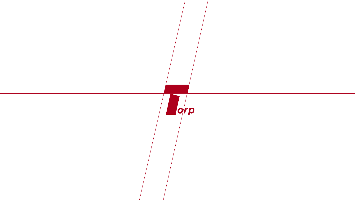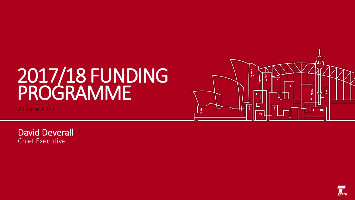# 2017/18 FUNDING PROGRAMME

21 June 2017



David Deverall Chief Executive

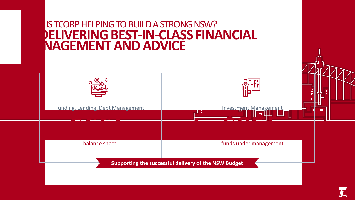

 $\epsilon$  orr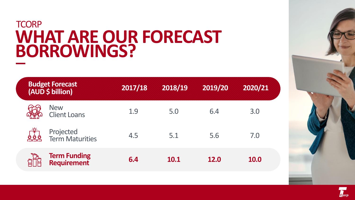### **TCORP WHAT ARE OUR FORECAST BORROWINGS?**

| <b>Budget Forecast</b><br>(AUD \$ billion) | 2017/18 | 2018/19 | 2019/20     | 2020/21     |
|--------------------------------------------|---------|---------|-------------|-------------|
| <b>New</b><br><b>Client Loans</b>          | 1.9     | 5.0     | 6.4         | 3.0         |
| Projected<br>Term Maturities<br>888        | 4.5     | 5.1     | 5.6         | 7.0         |
| <b>Term Funding</b><br><b>Requirement</b>  | 6.4     | 10.1    | <b>12.0</b> | <b>10.0</b> |

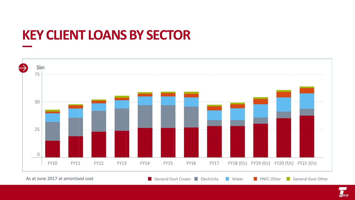## **KEY CLIENT LOANS BY SECTOR**



As at June 2017 at amortised cost **General Govt Crown Media Contact Contact Contact Contact Contact Contact** General Govt Other

Gorr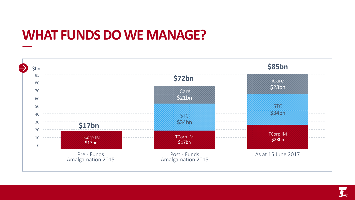## **WHAT FUNDS DO WE MANAGE?**



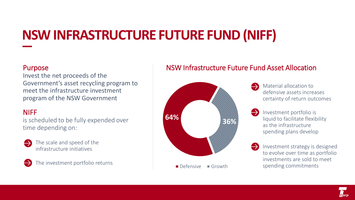## **NSW INFRASTRUCTURE FUTURE FUND (NIFF)**

#### Purpose

Invest the net proceeds of the Government's asset recycling program to meet the infrastructure investment program of the NSW Government

### NIFF

is scheduled to be fully expended over time depending on:



The scale and speed of the infrastructure initiatives



The investment portfolio returns

### NSW Infrastructure Future Fund Asset Allocation



Material allocation to defensive assets increases certainty of return outcomes

Investment portfolio is liquid to facilitate flexibility as the infrastructure spending plans develop

Investment strategy is designed to evolve over time as portfolio investments are sold to meet spending commitments